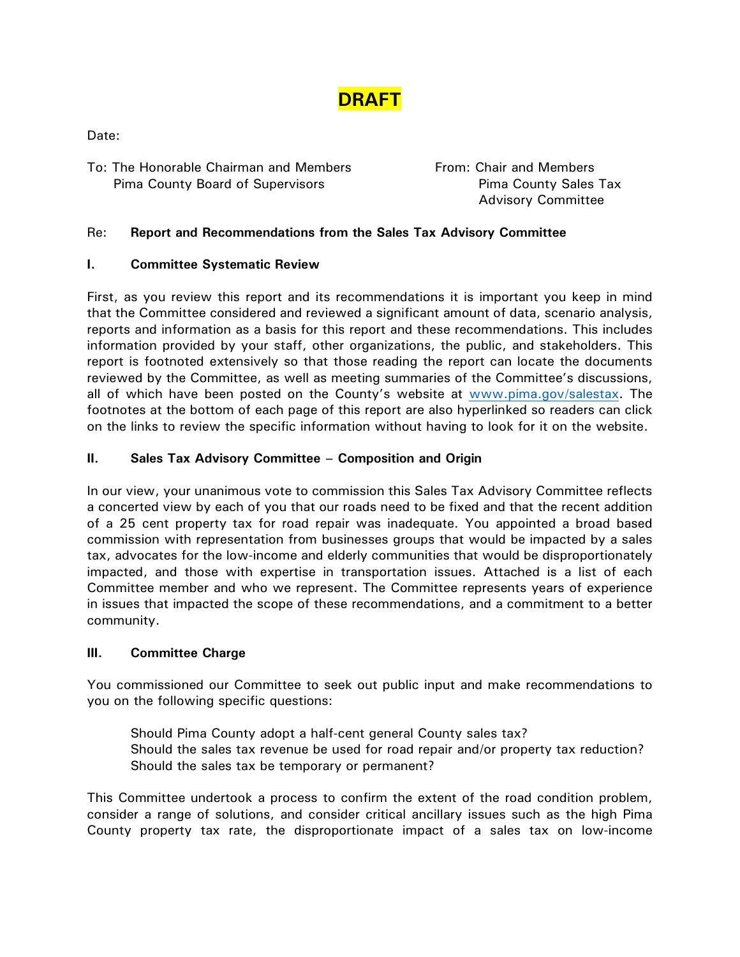

Date:

To: The Honorable Chairman and Members **From: Chair and Members** Pima County Board of Supervisors **Pima County Sales Tax** 

Advisory Committee

# Re: **Report and Recommendations from the Sales Tax Advisory Committee**

#### **I. Committee Systematic Review**

First, as you review this report and its recommendations it is important you keep in mind that the Committee considered and reviewed a significant amount of data, scenario analysis, reports and information as a basis for this report and these recommendations. This includes information provided by your staff, other organizations, the public, and stakeholders. This report is footnoted extensively so that those reading the report can locate the documents reviewed by the Committee, as well as meeting summaries of the Committee's discussions, all of which have been posted on the County's website at [www.pima.gov/salestax.](http://www.pima.gov/salestax) The footnotes at the bottom of each page of this report are also hyperlinked so readers can click on the links to review the specific information without having to look for it on the website.

# **II. Sales Tax Advisory Committee – Composition and Origin**

In our view, your unanimous vote to commission this Sales Tax Advisory Committee reflects a concerted view by each of you that our roads need to be fixed and that the recent addition of a 25 cent property tax for road repair was inadequate. You appointed a broad based commission with representation from businesses groups that would be impacted by a sales tax, advocates for the low-income and elderly communities that would be disproportionately impacted, and those with expertise in transportation issues. Attached is a list of each Committee member and who we represent. The Committee represents years of experience in issues that impacted the scope of these recommendations, and a commitment to a better community.

#### **III. Committee Charge**

You commissioned our Committee to seek out public input and make recommendations to you on the following specific questions:

Should Pima County adopt a half-cent general County sales tax? Should the sales tax revenue be used for road repair and/or property tax reduction? Should the sales tax be temporary or permanent?

This Committee undertook a process to confirm the extent of the road condition problem, consider a range of solutions, and consider critical ancillary issues such as the high Pima County property tax rate, the disproportionate impact of a sales tax on low-income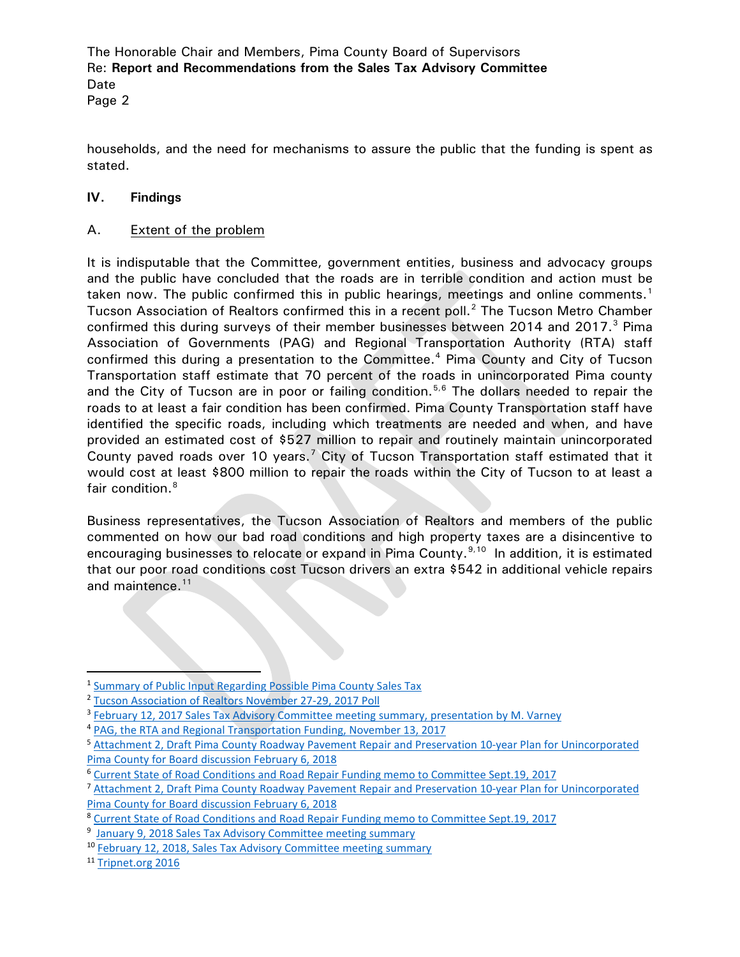Page 2

households, and the need for mechanisms to assure the public that the funding is spent as stated.

## **IV. Findings**

## A. Extent of the problem

It is indisputable that the Committee, government entities, business and advocacy groups and the public have concluded that the roads are in terrible condition and action must be taken now. The public confirmed this in public hearings, meetings and online comments.<sup>[1](#page-1-0)</sup> Tucson Association of Realtors confirmed this in a recent poll.<sup>[2](#page-1-1)</sup> The Tucson Metro Chamber confirmed this during surveys of their member businesses between 2014 and 2017. $3$  Pima Association of Governments (PAG) and Regional Transportation Authority (RTA) staff confirmed this during a presentation to the Committee.<sup>[4](#page-1-3)</sup> Pima County and City of Tucson Transportation staff estimate that 70 percent of the roads in unincorporated Pima county and the City of Tucson are in poor or failing condition.<sup>[5,](#page-1-4)[6](#page-1-5)</sup> The dollars needed to repair the roads to at least a fair condition has been confirmed. Pima County Transportation staff have identified the specific roads, including which treatments are needed and when, and have provided an estimated cost of \$527 million to repair and routinely maintain unincorporated County paved roads over 10 years.<sup>[7](#page-1-6)</sup> City of Tucson Transportation staff estimated that it would cost at least \$800 million to repair the roads within the City of Tucson to at least a fair condition.<sup>[8](#page-1-7)</sup>

Business representatives, the Tucson Association of Realtors and members of the public commented on how our bad road conditions and high property taxes are a disincentive to encouraging businesses to relocate or expand in Pima County.<sup>[9,](#page-1-8)[10](#page-1-9)</sup> In addition, it is estimated that our poor road conditions cost Tucson drivers an extra \$542 in additional vehicle repairs and maintence.<sup>[11](#page-1-10)</sup>

<span id="page-1-3"></span><sup>4</sup> [PAG, the RTA and Regional Transportation Funding, November 13, 2017](http://webcms.pima.gov/UserFiles/Servers/Server_6/File/Government/Transportation/Sales%20Tax%20Advisory%20Committee/Meeting%20Materials/11.13.2017%20Meeting/PAG%20transportation%20funding%20slides%20Nov.%2013%202017.pdf)

<span id="page-1-0"></span> <sup>1</sup> [Summary of Public Input Regarding Possible Pima County Sales Tax](http://webcms.pima.gov/UserFiles/Servers/Server_6/File/Government/Transportation/Sales%20Tax%20Advisory%20Committee/Meeting%20Materials/2.28.2018%20Meeting/Draft%20summary%20of%20public%20input%20sales%20tax.pdf)

<span id="page-1-1"></span><sup>2</sup> [Tucson Association of Realtors November 27-29, 2017 Poll](http://webcms.pima.gov/UserFiles/Servers/Server_6/File/Government/Transportation/Sales%20Tax%20Advisory%20Committee/Meeting%20Materials/2.12.2018%20Meeting/Tucson%20Association%20of%20REALTORS%202017%20Poll.pdf)

<span id="page-1-2"></span><sup>&</sup>lt;sup>3</sup> [February 12, 2017 Sales Tax Advisory Committee meeting summary, presentation by M. Varney](http://webcms.pima.gov/UserFiles/Servers/Server_6/File/Government/Transportation/Sales%20Tax%20Advisory%20Committee/Meeting%20Summaries/2018.02.12.STAC%20meeting%20summary.pdf)

<span id="page-1-4"></span><sup>5</sup> Attachment 2, [Draft Pima County Roadway Pavement Repair and Preservation 10-year Plan for Unincorporated](http://webcms.pima.gov/UserFiles/Servers/Server_6/File/Government/Transportation/Sales%20Tax%20Advisory%20Committee/Post%20Meeting%20Correspondence/2018.02.06.bd-draft.sales.tax.implementation.plan.ord.road.repair.plan.pdf)  [Pima County for Board discussion February 6, 2018](http://webcms.pima.gov/UserFiles/Servers/Server_6/File/Government/Transportation/Sales%20Tax%20Advisory%20Committee/Post%20Meeting%20Correspondence/2018.02.06.bd-draft.sales.tax.implementation.plan.ord.road.repair.plan.pdf)

<span id="page-1-5"></span><sup>6</sup> [Current State of Road Conditions and Road Repair Funding memo to Committee Sept.19,](http://webcms.pima.gov/UserFiles/Servers/Server_6/File/Government/Transportation/Sales%20Tax%20Advisory%20Committee/Meeting%20Materials/9.29.2017%20Meeting/2017.09.19.STAC-STAC.meeting.purpose.scope.pdf) 2017

<span id="page-1-6"></span><sup>7</sup> Attachment 2, [Draft Pima County Roadway Pavement Repair and Preservation 10-year Plan for Unincorporated](http://webcms.pima.gov/UserFiles/Servers/Server_6/File/Government/Transportation/Sales%20Tax%20Advisory%20Committee/Post%20Meeting%20Correspondence/2018.02.06.bd-draft.sales.tax.implementation.plan.ord.road.repair.plan.pdf)  [Pima County for Board discussion February 6, 2018](http://webcms.pima.gov/UserFiles/Servers/Server_6/File/Government/Transportation/Sales%20Tax%20Advisory%20Committee/Post%20Meeting%20Correspondence/2018.02.06.bd-draft.sales.tax.implementation.plan.ord.road.repair.plan.pdf)

<span id="page-1-8"></span><span id="page-1-7"></span><sup>8</sup> [Current State of Road Conditions and Road Repair Funding memo to Committee Sept.19,](http://webcms.pima.gov/UserFiles/Servers/Server_6/File/Government/Transportation/Sales%20Tax%20Advisory%20Committee/Meeting%20Materials/9.29.2017%20Meeting/2017.09.19.STAC-STAC.meeting.purpose.scope.pdf) 2017

<sup>&</sup>lt;sup>9</sup> [January 9, 2018 Sales Tax Advisory Committee meeting summary](http://webcms.pima.gov/UserFiles/Servers/Server_6/File/Government/Transportation/Sales%20Tax%20Advisory%20Committee/Meeting%20Summaries/2018.01.09.STAC%20meeting%20summary.pdf)

<span id="page-1-9"></span><sup>10</sup> [February 12, 2018, Sales Tax Advisory Committee meeting summary](http://webcms.pima.gov/UserFiles/Servers/Server_6/File/Government/Transportation/Sales%20Tax%20Advisory%20Committee/Meeting%20Summaries/2018.02.12.STAC%20meeting%20summary.pdf)

<span id="page-1-10"></span><sup>11</sup> [Tripnet.org 2016](http://www.tripnet.org/docs/Urban_Roads_TRIP_Report_Appendix_C_November_2016.pdf)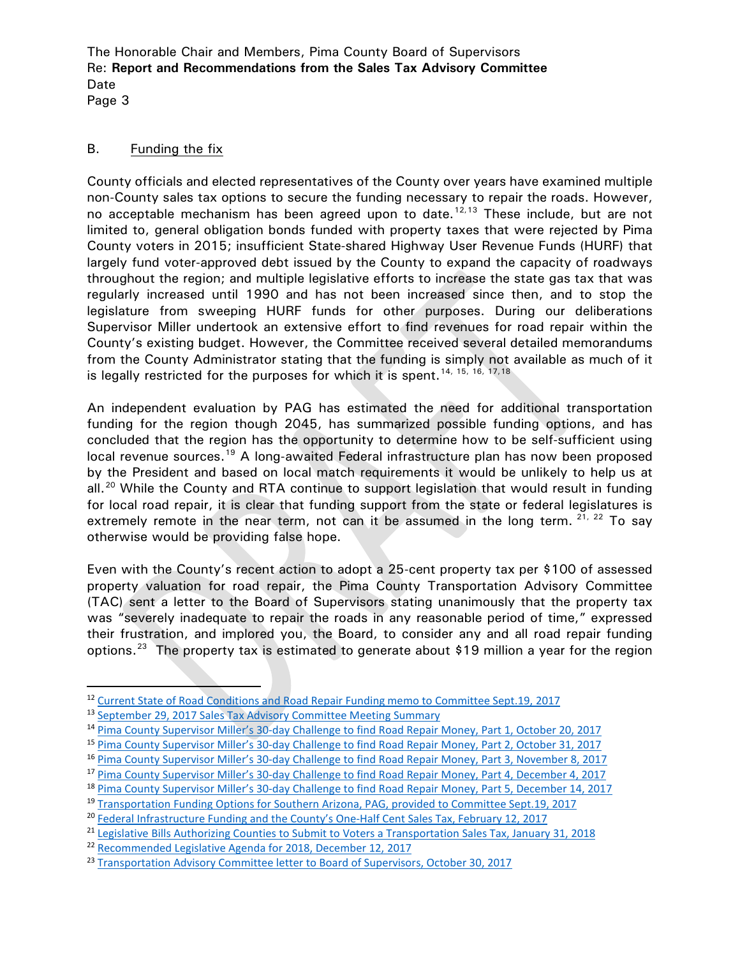Page 3

#### B. Funding the fix

County officials and elected representatives of the County over years have examined multiple non-County sales tax options to secure the funding necessary to repair the roads. However, no acceptable mechanism has been agreed upon to date.<sup>[12](#page-2-0),[13](#page-2-1)</sup> These include, but are not limited to, general obligation bonds funded with property taxes that were rejected by Pima County voters in 2015; insufficient State-shared Highway User Revenue Funds (HURF) that largely fund voter-approved debt issued by the County to expand the capacity of roadways throughout the region; and multiple legislative efforts to increase the state gas tax that was regularly increased until 1990 and has not been increased since then, and to stop the legislature from sweeping HURF funds for other purposes. During our deliberations Supervisor Miller undertook an extensive effort to find revenues for road repair within the County's existing budget. However, the Committee received several detailed memorandums from the County Administrator stating that the funding is simply not available as much of it is legally restricted for the purposes for which it is spent.<sup>[14,](#page-2-2) [15,](#page-2-3) [16,](#page-2-4) [17,](#page-2-5) [18](#page-2-6)</sup>

An independent evaluation by PAG has estimated the need for additional transportation funding for the region though 2045, has summarized possible funding options, and has concluded that the region has the opportunity to determine how to be self-sufficient using local revenue sources.<sup>[19](#page-2-7)</sup> A long-awaited Federal infrastructure plan has now been proposed by the President and based on local match requirements it would be unlikely to help us at all.<sup>[20](#page-2-8)</sup> While the County and RTA continue to support legislation that would result in funding for local road repair, it is clear that funding support from the state or federal legislatures is extremely remote in the near term, not can it be assumed in the long term.  $21, 22$  $21, 22$  $21, 22$  To say otherwise would be providing false hope.

Even with the County's recent action to adopt a 25-cent property tax per \$100 of assessed property valuation for road repair, the Pima County Transportation Advisory Committee (TAC) sent a letter to the Board of Supervisors stating unanimously that the property tax was "severely inadequate to repair the roads in any reasonable period of time," expressed their frustration, and implored you, the Board, to consider any and all road repair funding options.<sup>23</sup> The property tax is estimated to generate about \$19 million a year for the region

<span id="page-2-0"></span> <sup>12</sup> [Current State of Road Conditions and Road Repair Funding memo to Committee Sept.19,](http://webcms.pima.gov/UserFiles/Servers/Server_6/File/Government/Transportation/Sales%20Tax%20Advisory%20Committee/Meeting%20Materials/9.29.2017%20Meeting/2017.09.19.STAC-STAC.meeting.purpose.scope.pdf) <sup>2017</sup>

<span id="page-2-1"></span><sup>13</sup> [September 29, 2017 Sales Tax Advisory Committee Meeting Summary](http://webcms.pima.gov/UserFiles/Servers/Server_6/File/Government/Transportation/Sales%20Tax%20Advisory%20Committee/Meeting%20Summaries/2017.9.29.STAC%20meeting%20summary.FINAL.pdf)

<span id="page-2-2"></span><sup>14</sup> [Pima County Supervisor Miller's 30-day Challenge to find Road Repair Money, Part 1, October 20, 2017](http://webcms.pima.gov/UserFiles/Servers/Server_6/File/Government/Transportation/Sales%20Tax%20Advisory%20Committee/Meeting%20Materials/10.27.2017/2017.10.20.STAC.TAC-miller.30.day.challenge.find.road.repair.money.response1.pdf)

<span id="page-2-3"></span><sup>15</sup> [Pima County Supervisor Miller's 30-day Challenge to find Road Repair Money, Part 2, October 31, 2017](http://webcms.pima.gov/UserFiles/Servers/Server_6/File/Government/Transportation/Sales%20Tax%20Advisory%20Committee/Post%20Meeting%20Correspondence/stac.tac-sup.miller.30day.challange.find.road.money.part2.pdf)

<span id="page-2-5"></span><span id="page-2-4"></span><sup>16</sup> [Pima County Supervisor Miller's 30-day Challenge to find Road Repair Money, Part 3, November 8, 2017](http://webcms.pima.gov/UserFiles/Servers/Server_6/File/Government/Transportation/Sales%20Tax%20Advisory%20Committee/Meeting%20Materials/11.13.2017%20Meeting/stac.tac-sup.miller.30day.challange.find.road.money.part3.pdf)

<sup>&</sup>lt;sup>17</sup> [Pima County Supervisor Miller's 30-day Challenge to find Road Repair Money, Part 4, December 4, 2017](http://webcms.pima.gov/UserFiles/Servers/Server_6/File/Government/Transportation/Sales%20Tax%20Advisory%20Committee/Post%20Meeting%20Correspondence/2017.12.4.stac.tac-sup.miller.30day.challange.find.road.money.part4.pdf)

<span id="page-2-6"></span><sup>18</sup> [Pima County Supervisor Miller's 30-day Challenge to find Road Repair Money, Part 5, December 14, 2017](http://webcms.pima.gov/UserFiles/Servers/Server_6/File/Government/Transportation/Sales%20Tax%20Advisory%20Committee/Post%20Meeting%20Correspondence/2017.12.14.stac.tac-miller.30day.challenge.reponse.part5.pdf)

<span id="page-2-7"></span><sup>&</sup>lt;sup>19</sup> [Transportation Funding Options for Southern Arizona, PAG, provided to Committee Sept.19, 2017](http://www.rtamobility.com/documents/pdfs/RTARTF/2016/RTARTF-2016-09-19-TransportationFundingOptions2016-04-28.pdf)

<span id="page-2-8"></span><sup>20</sup> [Federal Infrastructure Funding and the County's One-Half Cent Sales Tax, February 12, 2017](http://webcms.pima.gov/UserFiles/Servers/Server_6/File/Government/Transportation/Sales%20Tax%20Advisory%20Committee/Post%20Meeting%20Correspondence/2018.02.12.bd-federal.infrastructure.funding.county.half.cent.sales.tax.pdf)

<span id="page-2-9"></span><sup>&</sup>lt;sup>21</sup> [Legislative Bills Authorizing Counties to Submit to Voters a Transportation Sales Tax, January 31, 2018](http://webcms.pima.gov/UserFiles/Servers/Server_6/File/Government/Transportation/Sales%20Tax%20Advisory%20Committee/Post%20Meeting%20Correspondence/2018.1.31.stactac-State%20Legislative%20Bills_1.pdf)

<span id="page-2-10"></span><sup>22</sup> [Recommended Legislative Agenda for 2018, December 12, 2017](http://webcms.pima.gov/UserFiles/Servers/Server_6/File/Government/Transportation/Sales%20Tax%20Advisory%20Committee/Meeting%20Materials/12.14.2017%20Meeting/2017.12.12.stac-recommended.legislative.agenda.2018.pdf)

<span id="page-2-11"></span><sup>&</sup>lt;sup>23</sup> [Transportation Advisory Committee letter to Board of Supervisors, October 30, 2017](http://webcms.pima.gov/UserFiles/Servers/Server_6/File/Government/Transportation/Sales%20Tax%20Advisory%20Committee/Post%20Meeting%20Correspondence/2017.10.30.TAC.BOS.identify.adequate.funding.road.repair.needs.pdf)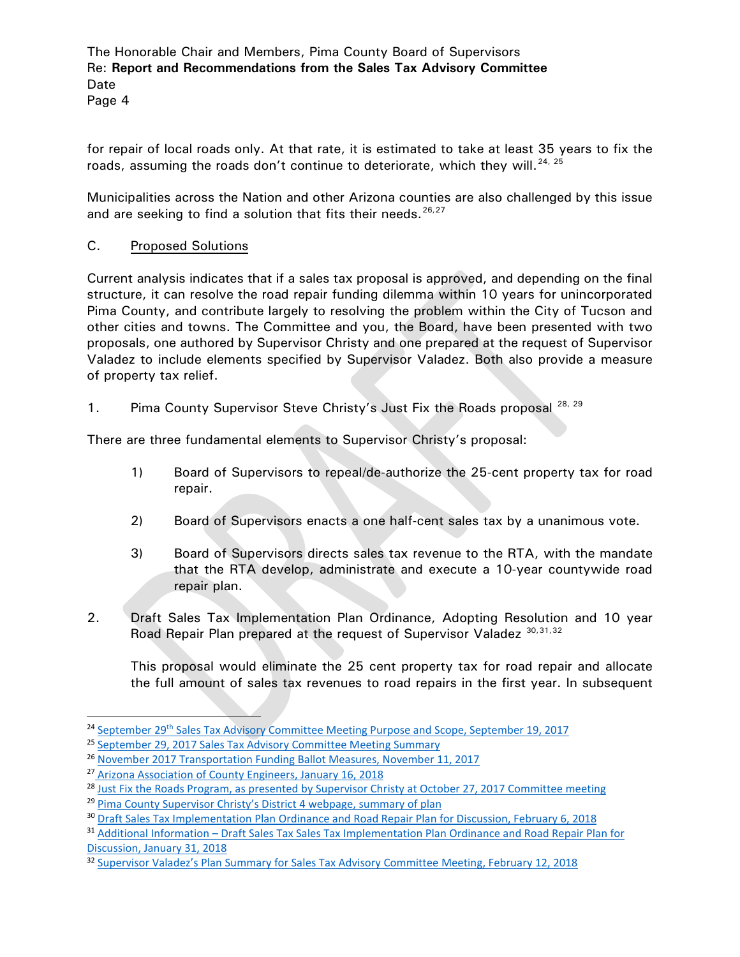Page 4

for repair of local roads only. At that rate, it is estimated to take at least 35 years to fix the roads, assuming the roads don't continue to deteriorate, which they will.  $^{24,25}$  $^{24,25}$  $^{24,25}$  $^{24,25}$  $^{24,25}$ 

Municipalities across the Nation and other Arizona counties are also challenged by this issue and are seeking to find a solution that fits their needs.  $26.27$  $26.27$ 

C. Proposed Solutions

Current analysis indicates that if a sales tax proposal is approved, and depending on the final structure, it can resolve the road repair funding dilemma within 10 years for unincorporated Pima County, and contribute largely to resolving the problem within the City of Tucson and other cities and towns. The Committee and you, the Board, have been presented with two proposals, one authored by Supervisor Christy and one prepared at the request of Supervisor Valadez to include elements specified by Supervisor Valadez. Both also provide a measure of property tax relief.

1. Pima County Supervisor Steve Christy's Just Fix the Roads proposal <sup>[28](#page-3-4), [29](#page-3-5)</sup>

There are three fundamental elements to Supervisor Christy's proposal:

- 1) Board of Supervisors to repeal/de-authorize the 25-cent property tax for road repair.
- 2) Board of Supervisors enacts a one half-cent sales tax by a unanimous vote.
- 3) Board of Supervisors directs sales tax revenue to the RTA, with the mandate that the RTA develop, administrate and execute a 10-year countywide road repair plan.
- 2. Draft Sales Tax Implementation Plan Ordinance, Adopting Resolution and 10 year Road Repair Plan prepared at the request of Supervisor Valadez [30,](#page-3-6)[31,](#page-3-7)[32](#page-3-8)

This proposal would eliminate the 25 cent property tax for road repair and allocate the full amount of sales tax revenues to road repairs in the first year. In subsequent

<span id="page-3-0"></span><sup>&</sup>lt;sup>24</sup> September 29<sup>th</sup> [Sales Tax Advisory Committee Meeting Purpose and Scope, September 19, 2017](http://webcms.pima.gov/UserFiles/Servers/Server_6/File/Government/Transportation/Sales%20Tax%20Advisory%20Committee/Meeting%20Materials/9.29.2017%20Meeting/2017.09.19.STAC-STAC.meeting.purpose.scope.pdf)

<span id="page-3-1"></span><sup>&</sup>lt;sup>25</sup> [September 29, 2017 Sales Tax Advisory Committee Meeting Summary](http://webcms.pima.gov/UserFiles/Servers/Server_6/File/Government/Transportation/Sales%20Tax%20Advisory%20Committee/Meeting%20Summaries/2017.9.29.STAC%20meeting%20summary.FINAL.pdf)

<span id="page-3-2"></span><sup>26</sup> [November 2017 Transportation Funding Ballot Measures, November 11, 2017](http://webcms.pima.gov/UserFiles/Servers/Server_6/File/Government/Transportation/Sales%20Tax%20Advisory%20Committee/Post%20Meeting%20Correspondence/2017.11.21.bd-nov.2017.transporation.funding.ballot.measures.pdf)

<span id="page-3-3"></span><sup>&</sup>lt;sup>27</sup> [Arizona Association of County Engineers, January 16, 2018](http://webcms.pima.gov/UserFiles/Servers/Server_6/File/Government/Transportation/Sales%20Tax%20Advisory%20Committee/Post%20Meeting%20Correspondence/2018.01.16.Arizona%20Association%20of%20County%20Engineers%20-%20Roadway%20Draft%20Study.pdf)

<span id="page-3-4"></span><sup>&</sup>lt;sup>28</sup> [Just Fix the Roads Program, as presented by Supervisor Christy at October 27, 2017 Committee meeting](http://webcms.pima.gov/UserFiles/Servers/Server_6/File/Government/Transportation/Sales%20Tax%20Advisory%20Committee/Meeting%20Materials/10.27.2017/Supervisor-Steve-Christy-Just-Fix-the-Roads-Program.pdf)

<span id="page-3-5"></span><sup>&</sup>lt;sup>29</sup> [Pima County Supervisor Christy's District 4 webpage, summary of plan](http://webcms.pima.gov/UserFiles/Servers/Server_6/File/Government/Transportation/Sales%20Tax%20Advisory%20Committee/Post%20Meeting%20Correspondence/2018.1.31.stactac-State%20Legislative%20Bills_1.pdf)

<span id="page-3-6"></span><sup>30</sup> [Draft Sales Tax Implementation Plan Ordinance and Road Repair Plan for Discussion, February 6, 2018](http://webcms.pima.gov/UserFiles/Servers/Server_6/File/Government/Transportation/Sales%20Tax%20Advisory%20Committee/Meeting%20Materials/2.12.2018%20Meeting/2018.02.06.bd-draft.sales.tax.implementation.plan.ord.road.repair.plan%20(002).pdf)

<span id="page-3-7"></span><sup>&</sup>lt;sup>31</sup> Additional Information – Draft Sales Tax Sales Tax Implementation Plan Ordinance and Road Repair Plan for [Discussion, January 31, 2018](http://webcms.pima.gov/UserFiles/Servers/Server_6/File/Government/Transportation/Sales%20Tax%20Advisory%20Committee/Meeting%20Materials/2.12.2018%20Meeting/2018.1.31.bd.additional%20information%20sales%20tax%20ordinance%20and%20plan%20Feb%206%20Board%20meeting.pdf)

<span id="page-3-8"></span><sup>&</sup>lt;sup>32</sup> [Supervisor Valadez's Plan Summary for Sales Tax Advisory Committee Meeting, February 12, 2018](http://webcms.pima.gov/UserFiles/Servers/Server_6/File/Government/Transportation/Sales%20Tax%20Advisory%20Committee/Meeting%20Materials/2.12.2018%20Meeting/Valadez%20Plan%20Summary_2.12.18.pdf)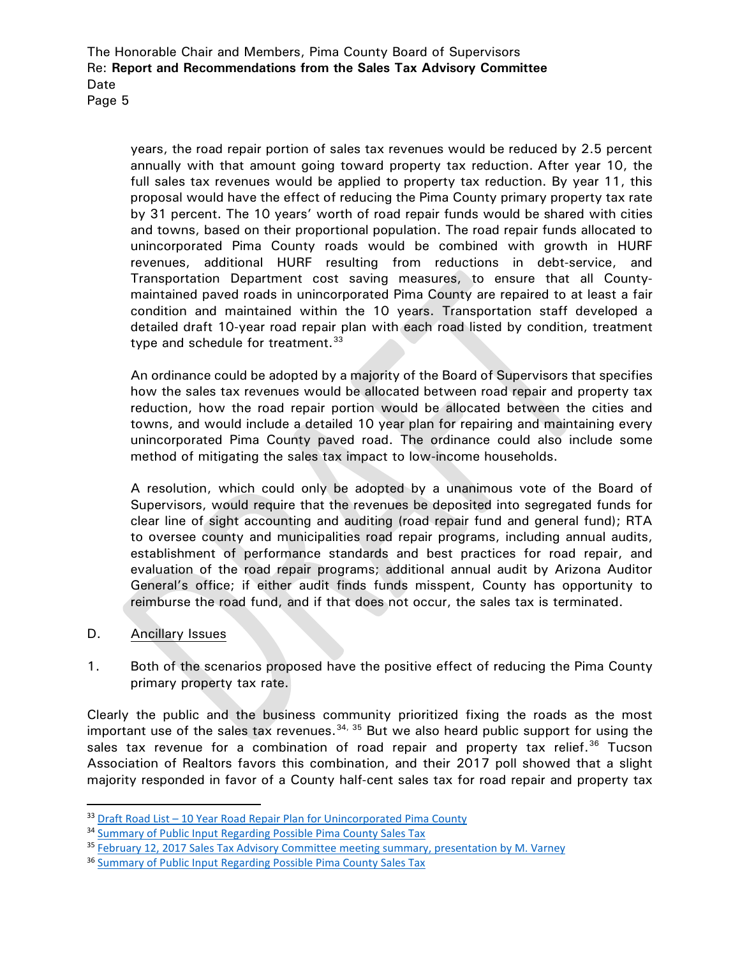Page 5

years, the road repair portion of sales tax revenues would be reduced by 2.5 percent annually with that amount going toward property tax reduction. After year 10, the full sales tax revenues would be applied to property tax reduction. By year 11, this proposal would have the effect of reducing the Pima County primary property tax rate by 31 percent. The 10 years' worth of road repair funds would be shared with cities and towns, based on their proportional population. The road repair funds allocated to unincorporated Pima County roads would be combined with growth in HURF revenues, additional HURF resulting from reductions in debt-service, and Transportation Department cost saving measures, to ensure that all Countymaintained paved roads in unincorporated Pima County are repaired to at least a fair condition and maintained within the 10 years. Transportation staff developed a detailed draft 10-year road repair plan with each road listed by condition, treatment type and schedule for treatment.<sup>[33](#page-4-0)</sup>

An ordinance could be adopted by a majority of the Board of Supervisors that specifies how the sales tax revenues would be allocated between road repair and property tax reduction, how the road repair portion would be allocated between the cities and towns, and would include a detailed 10 year plan for repairing and maintaining every unincorporated Pima County paved road. The ordinance could also include some method of mitigating the sales tax impact to low-income households.

A resolution, which could only be adopted by a unanimous vote of the Board of Supervisors, would require that the revenues be deposited into segregated funds for clear line of sight accounting and auditing (road repair fund and general fund); RTA to oversee county and municipalities road repair programs, including annual audits, establishment of performance standards and best practices for road repair, and evaluation of the road repair programs; additional annual audit by Arizona Auditor General's office; if either audit finds funds misspent, County has opportunity to reimburse the road fund, and if that does not occur, the sales tax is terminated.

- D. Ancillary Issues
- 1. Both of the scenarios proposed have the positive effect of reducing the Pima County primary property tax rate.

Clearly the public and the business community prioritized fixing the roads as the most important use of the sales tax revenues.  $34, 35$  $34, 35$  $34, 35$  But we also heard public support for using the sales tax revenue for a combination of road repair and property tax relief.<sup>[36](#page-4-3)</sup> Tucson Association of Realtors favors this combination, and their 2017 poll showed that a slight majority responded in favor of a County half-cent sales tax for road repair and property tax

<span id="page-4-0"></span><sup>33</sup> Draft Road List - [10 Year Road Repair Plan for Unincorporated Pima County](http://webcms.pima.gov/UserFiles/Servers/Server_6/File/Government/Transportation/Sales%20Tax%20Advisory%20Committee/Post%20Meeting%20Correspondence/Draft%20Road%20List%2010%20Year%20Plan%20for%20Unincorporated%20Pima%20County.pdf)

<span id="page-4-1"></span><sup>&</sup>lt;sup>34</sup> [Summary of Public Input Regarding Possible Pima County Sales Tax](http://webcms.pima.gov/UserFiles/Servers/Server_6/File/Government/Transportation/Sales%20Tax%20Advisory%20Committee/Meeting%20Materials/2.28.2018%20Meeting/Draft%20summary%20of%20public%20input%20sales%20tax.pdf)

<span id="page-4-2"></span><sup>35</sup> February 12, 2017 Sales Tax [Advisory Committee meeting summary, presentation by M. Varney](http://webcms.pima.gov/UserFiles/Servers/Server_6/File/Government/Transportation/Sales%20Tax%20Advisory%20Committee/Meeting%20Summaries/2018.02.12.STAC%20meeting%20summary.pdf)

<span id="page-4-3"></span><sup>36</sup> [Summary of Public Input Regarding Possible Pima County Sales Tax](http://webcms.pima.gov/UserFiles/Servers/Server_6/File/Government/Transportation/Sales%20Tax%20Advisory%20Committee/Meeting%20Materials/2.28.2018%20Meeting/Draft%20summary%20of%20public%20input%20sales%20tax.pdf)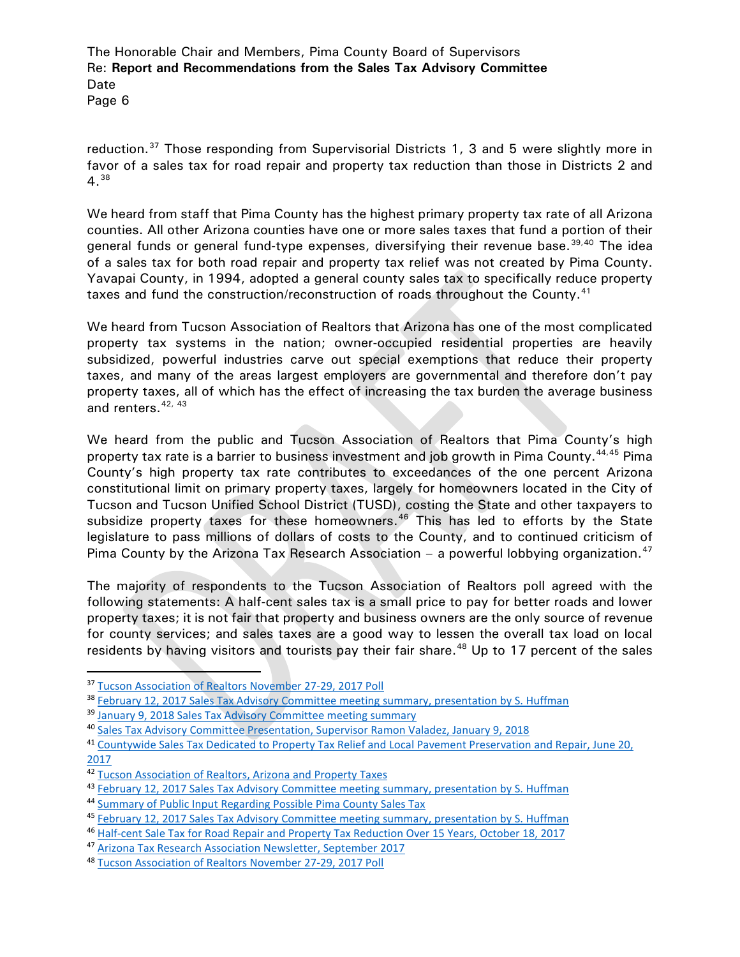reduction.<sup>[37](#page-5-0)</sup> Those responding from Supervisorial Districts 1, 3 and 5 were slightly more in favor of a sales tax for road repair and property tax reduction than those in Districts 2 and 4.[38](#page-5-1)

We heard from staff that Pima County has the highest primary property tax rate of all Arizona counties. All other Arizona counties have one or more sales taxes that fund a portion of their general funds or general fund-type expenses, diversifying their revenue base.<sup>[39,](#page-5-2)[40](#page-5-3)</sup> The idea of a sales tax for both road repair and property tax relief was not created by Pima County. Yavapai County, in 1994, adopted a general county sales tax to specifically reduce property taxes and fund the construction/reconstruction of roads throughout the County.<sup>[41](#page-5-4)</sup>

We heard from Tucson Association of Realtors that Arizona has one of the most complicated property tax systems in the nation; owner-occupied residential properties are heavily subsidized, powerful industries carve out special exemptions that reduce their property taxes, and many of the areas largest employers are governmental and therefore don't pay property taxes, all of which has the effect of increasing the tax burden the average business and renters.<sup>[42,](#page-5-5) [43](#page-5-6)</sup>

We heard from the public and Tucson Association of Realtors that Pima County's high property tax rate is a barrier to business investment and job growth in Pima County. <sup>[44,](#page-5-7)[45](#page-5-8)</sup> Pima County's high property tax rate contributes to exceedances of the one percent Arizona constitutional limit on primary property taxes, largely for homeowners located in the City of Tucson and Tucson Unified School District (TUSD), costing the State and other taxpayers to subsidize property taxes for these homeowners.<sup>[46](#page-5-9)</sup> This has led to efforts by the State legislature to pass millions of dollars of costs to the County, and to continued criticism of Pima County by the Arizona Tax Research Association – a powerful lobbying organization.<sup>[47](#page-5-10)</sup>

The majority of respondents to the Tucson Association of Realtors poll agreed with the following statements: A half-cent sales tax is a small price to pay for better roads and lower property taxes; it is not fair that property and business owners are the only source of revenue for county services; and sales taxes are a good way to lessen the overall tax load on local residents by having visitors and tourists pay their fair share.<sup>[48](#page-5-11)</sup> Up to 17 percent of the sales

<span id="page-5-0"></span> <sup>37</sup> [Tucson Association of Realtors November 27-29, 2017 Poll](http://webcms.pima.gov/UserFiles/Servers/Server_6/File/Government/Transportation/Sales%20Tax%20Advisory%20Committee/Meeting%20Materials/2.12.2018%20Meeting/Tucson%20Association%20of%20REALTORS%202017%20Poll.pdf)

<span id="page-5-1"></span><sup>38</sup> [February 12, 2017 Sales Tax Advisory Committee meeting summary, presentation by S. Huffman](http://webcms.pima.gov/UserFiles/Servers/Server_6/File/Government/Transportation/Sales%20Tax%20Advisory%20Committee/Meeting%20Summaries/2018.02.12.STAC%20meeting%20summary.pdf)

<span id="page-5-2"></span><sup>&</sup>lt;sup>39</sup> [January 9, 2018 Sales Tax Advisory Committee meeting summary](http://webcms.pima.gov/UserFiles/Servers/Server_6/File/Government/Transportation/Sales%20Tax%20Advisory%20Committee/Meeting%20Summaries/2018.01.09.STAC%20meeting%20summary.pdf)

<span id="page-5-3"></span><sup>40</sup> [Sales Tax Advisory Committee Presentation, Supervisor Ramon Valadez, January 9, 2018](http://webcms.pima.gov/UserFiles/Servers/Server_6/File/Government/Transportation/Sales%20Tax%20Advisory%20Committee/Meeting%20Materials/1.09.2018%20Meeting/20170109%20-%20Valadez%20STAC%20Presentation.pdf)

<span id="page-5-4"></span><sup>41</sup> Countywide [Sales Tax Dedicated to Property Tax Relief and Local Pavement Preservation and Repair, June 20,](http://webcms.pima.gov/UserFiles/Servers/Server_6/File/Government/Administration/CHHmemosFor%20Web/2017/June/Countywide%20Sales%20Tax%20Dedicated%20to%20Property%20Tax%20Relief.pdf)  [2017](http://webcms.pima.gov/UserFiles/Servers/Server_6/File/Government/Administration/CHHmemosFor%20Web/2017/June/Countywide%20Sales%20Tax%20Dedicated%20to%20Property%20Tax%20Relief.pdf)

<span id="page-5-5"></span><sup>42</sup> [Tucson Association of Realtors, Arizona and Property Taxes](http://webcms.pima.gov/UserFiles/Servers/Server_6/File/Government/Transportation/Sales%20Tax%20Advisory%20Committee/Meeting%20Materials/9.29.2017%20Meeting/Tucson%20Association%20of%20Realtors%20Arizona%20Property%20Taxes.pdf)

<span id="page-5-6"></span><sup>43</sup> [February 12, 2017 Sales Tax Advisory Committee meeting summary, presentation by S. Huffman](http://webcms.pima.gov/UserFiles/Servers/Server_6/File/Government/Transportation/Sales%20Tax%20Advisory%20Committee/Meeting%20Summaries/2018.02.12.STAC%20meeting%20summary.pdf)

<span id="page-5-7"></span><sup>44</sup> [Summary of Public Input Regarding Possible Pima County Sales Tax](http://webcms.pima.gov/UserFiles/Servers/Server_6/File/Government/Transportation/Sales%20Tax%20Advisory%20Committee/Meeting%20Materials/2.28.2018%20Meeting/Draft%20summary%20of%20public%20input%20sales%20tax.pdf)

<span id="page-5-8"></span><sup>45</sup> [February 12, 2017 Sales Tax Advisory Committee meeting summary, presentation by S. Huffman](http://webcms.pima.gov/UserFiles/Servers/Server_6/File/Government/Transportation/Sales%20Tax%20Advisory%20Committee/Meeting%20Summaries/2018.02.12.STAC%20meeting%20summary.pdf)

<span id="page-5-9"></span><sup>46</sup> [Half-cent Sale Tax for Road Repair and Property Tax Reduction Over 15 Years, October 18, 2017](http://webcms.pima.gov/UserFiles/Servers/Server_6/File/Government/Transportation/Sales%20Tax%20Advisory%20Committee/Meeting%20Materials/10.27.2017/stac-half.cent.sales.tax.road.repair.prop.tax.15.years.pdf)

<span id="page-5-10"></span><sup>47</sup> [Arizona Tax Research Association Newsletter, September 2017](http://webcms.pima.gov/UserFiles/Servers/Server_6/File/Government/Transportation/Sales%20Tax%20Advisory%20Committee/Meeting%20Materials/9.29.2017%20Meeting/2017.9.ATRA%20Newletter.pdf)

<span id="page-5-11"></span><sup>48</sup> [Tucson Association of Realtors November 27-29, 2017 Poll](http://webcms.pima.gov/UserFiles/Servers/Server_6/File/Government/Transportation/Sales%20Tax%20Advisory%20Committee/Meeting%20Materials/2.12.2018%20Meeting/Tucson%20Association%20of%20REALTORS%202017%20Poll.pdf)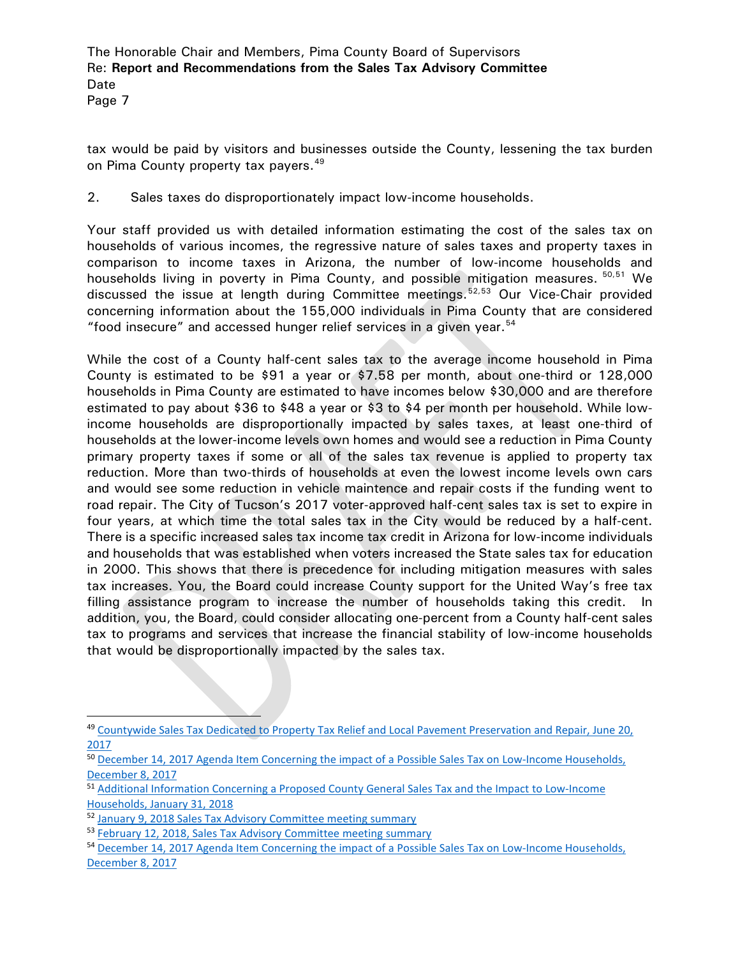Page 7

tax would be paid by visitors and businesses outside the County, lessening the tax burden on Pima County property tax payers.<sup>[49](#page-6-0)</sup>

2. Sales taxes do disproportionately impact low-income households.

Your staff provided us with detailed information estimating the cost of the sales tax on households of various incomes, the regressive nature of sales taxes and property taxes in comparison to income taxes in Arizona, the number of low-income households and households living in poverty in Pima County, and possible mitigation measures. <sup>[50,](#page-6-1)[51](#page-6-2)</sup> We discussed the issue at length during Committee meetings.<sup>[52,](#page-6-3)[53](#page-6-4)</sup> Our Vice-Chair provided concerning information about the 155,000 individuals in Pima County that are considered "food insecure" and accessed hunger relief services in a given year. [54](#page-6-5)

While the cost of a County half-cent sales tax to the average income household in Pima County is estimated to be \$91 a year or \$7.58 per month, about one-third or 128,000 households in Pima County are estimated to have incomes below \$30,000 and are therefore estimated to pay about \$36 to \$48 a year or \$3 to \$4 per month per household. While lowincome households are disproportionally impacted by sales taxes, at least one-third of households at the lower-income levels own homes and would see a reduction in Pima County primary property taxes if some or all of the sales tax revenue is applied to property tax reduction. More than two-thirds of households at even the lowest income levels own cars and would see some reduction in vehicle maintence and repair costs if the funding went to road repair. The City of Tucson's 2017 voter-approved half-cent sales tax is set to expire in four years, at which time the total sales tax in the City would be reduced by a half-cent. There is a specific increased sales tax income tax credit in Arizona for low-income individuals and households that was established when voters increased the State sales tax for education in 2000. This shows that there is precedence for including mitigation measures with sales tax increases. You, the Board could increase County support for the United Way's free tax filling assistance program to increase the number of households taking this credit. In addition, you, the Board, could consider allocating one-percent from a County half-cent sales tax to programs and services that increase the financial stability of low-income households that would be disproportionally impacted by the sales tax.

<span id="page-6-0"></span> <sup>49</sup> [Countywide Sales Tax Dedicated to Property Tax Relief and Local Pavement Preservation and Repair, June 20,](http://webcms.pima.gov/UserFiles/Servers/Server_6/File/Government/Administration/CHHmemosFor%20Web/2017/June/Countywide%20Sales%20Tax%20Dedicated%20to%20Property%20Tax%20Relief.pdf)  [2017](http://webcms.pima.gov/UserFiles/Servers/Server_6/File/Government/Administration/CHHmemosFor%20Web/2017/June/Countywide%20Sales%20Tax%20Dedicated%20to%20Property%20Tax%20Relief.pdf)

<span id="page-6-1"></span><sup>50</sup> December 14, 2017 Agenda Item Concerning the impact of a Possible Sales Tax on Low-Income Households, [December 8, 2017](http://webcms.pima.gov/UserFiles/Servers/Server_6/File/Government/Transportation/Sales%20Tax%20Advisory%20Committee/Meeting%20Materials/12.14.2017%20Meeting/2017.12.8.stac-possible.sales.tax.low.income.households.pdf)

<span id="page-6-2"></span><sup>51</sup> [Additional Information Concerning a Proposed County General Sales Tax and the Impact to Low-Income](http://webcms.pima.gov/UserFiles/Servers/Server_6/File/Government/Transportation/Sales%20Tax%20Advisory%20Committee/Meeting%20Materials/2.12.2018%20Meeting/2018.1.31.stac.Sales%20Tax%20and%20the%20Impact%20to%20Low-Income%20Households.pdf)  [Households, January 31, 2018](http://webcms.pima.gov/UserFiles/Servers/Server_6/File/Government/Transportation/Sales%20Tax%20Advisory%20Committee/Meeting%20Materials/2.12.2018%20Meeting/2018.1.31.stac.Sales%20Tax%20and%20the%20Impact%20to%20Low-Income%20Households.pdf)

<span id="page-6-3"></span><sup>52</sup> [January 9, 2018 Sales Tax Advisory Committee meeting summary](http://webcms.pima.gov/UserFiles/Servers/Server_6/File/Government/Transportation/Sales%20Tax%20Advisory%20Committee/Meeting%20Summaries/2018.01.09.STAC%20meeting%20summary.pdf)

<span id="page-6-4"></span><sup>53</sup> [February 12, 2018, Sales Tax Advisory Committee meeting summary](http://webcms.pima.gov/UserFiles/Servers/Server_6/File/Government/Transportation/Sales%20Tax%20Advisory%20Committee/Meeting%20Summaries/2018.02.12.STAC%20meeting%20summary.pdf)

<span id="page-6-5"></span><sup>54</sup> December 14, 2017 Agenda Item Concerning the impact of a Possible Sales Tax on Low-Income Households, [December 8, 2017](http://webcms.pima.gov/UserFiles/Servers/Server_6/File/Government/Transportation/Sales%20Tax%20Advisory%20Committee/Meeting%20Materials/12.14.2017%20Meeting/2017.12.8.stac-possible.sales.tax.low.income.households.pdf)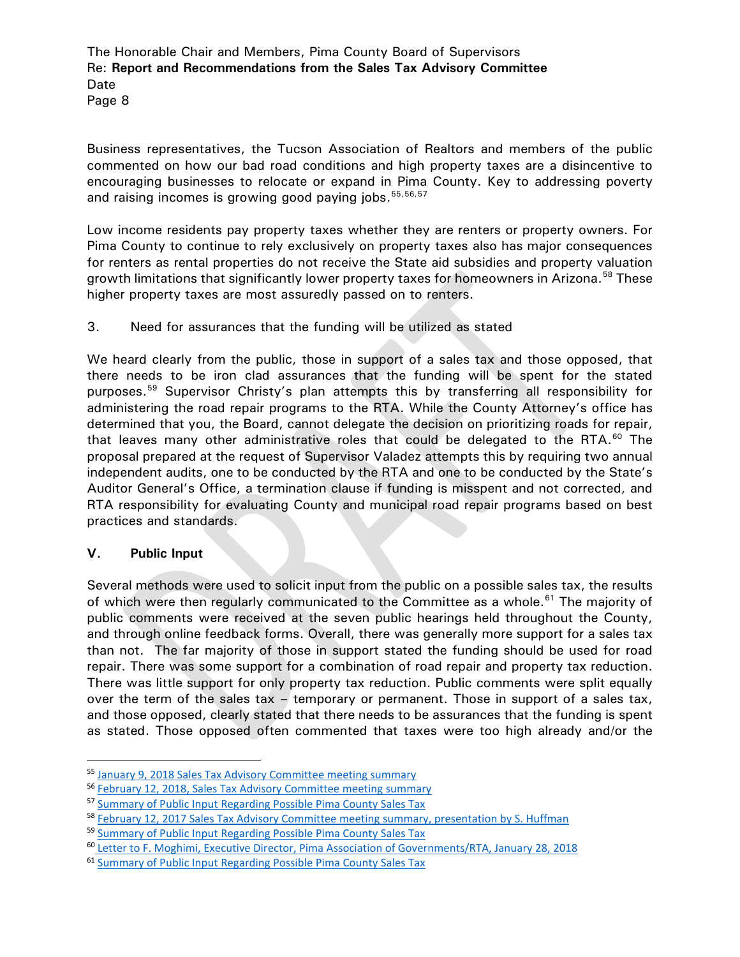Page 8

Business representatives, the Tucson Association of Realtors and members of the public commented on how our bad road conditions and high property taxes are a disincentive to encouraging businesses to relocate or expand in Pima County. Key to addressing poverty and raising incomes is growing good paying jobs. [55](#page-7-0),[56,](#page-7-1)[57](#page-7-2)

Low income residents pay property taxes whether they are renters or property owners. For Pima County to continue to rely exclusively on property taxes also has major consequences for renters as rental properties do not receive the State aid subsidies and property valuation growth limitations that significantly lower property taxes for homeowners in Arizona.<sup>[58](#page-7-3)</sup> These higher property taxes are most assuredly passed on to renters.

3. Need for assurances that the funding will be utilized as stated

We heard clearly from the public, those in support of a sales tax and those opposed, that there needs to be iron clad assurances that the funding will be spent for the stated purposes.<sup>[59](#page-7-4)</sup> Supervisor Christy's plan attempts this by transferring all responsibility for administering the road repair programs to the RTA. While the County Attorney's office has determined that you, the Board, cannot delegate the decision on prioritizing roads for repair, that leaves many other administrative roles that could be delegated to the RTA. $^{60}$  $^{60}$  $^{60}$  The proposal prepared at the request of Supervisor Valadez attempts this by requiring two annual independent audits, one to be conducted by the RTA and one to be conducted by the State's Auditor General's Office, a termination clause if funding is misspent and not corrected, and RTA responsibility for evaluating County and municipal road repair programs based on best practices and standards.

# **V. Public Input**

Several methods were used to solicit input from the public on a possible sales tax, the results of which were then regularly communicated to the Committee as a whole.<sup>[61](#page-7-6)</sup> The majority of public comments were received at the seven public hearings held throughout the County, and through online feedback forms. Overall, there was generally more support for a sales tax than not. The far majority of those in support stated the funding should be used for road repair. There was some support for a combination of road repair and property tax reduction. There was little support for only property tax reduction. Public comments were split equally over the term of the sales tax – temporary or permanent. Those in support of a sales tax, and those opposed, clearly stated that there needs to be assurances that the funding is spent as stated. Those opposed often commented that taxes were too high already and/or the

<span id="page-7-0"></span> <sup>55</sup> [January 9, 2018 Sales Tax Advisory Committee meeting summary](http://webcms.pima.gov/UserFiles/Servers/Server_6/File/Government/Transportation/Sales%20Tax%20Advisory%20Committee/Meeting%20Summaries/2018.01.09.STAC%20meeting%20summary.pdf)

<span id="page-7-1"></span><sup>56</sup> [February 12, 2018, Sales Tax Advisory Committee meeting summary](http://webcms.pima.gov/UserFiles/Servers/Server_6/File/Government/Transportation/Sales%20Tax%20Advisory%20Committee/Meeting%20Summaries/2018.02.12.STAC%20meeting%20summary.pdf)

<span id="page-7-2"></span><sup>57</sup> [Summary of Public Input Regarding Possible Pima County Sales Tax](http://webcms.pima.gov/UserFiles/Servers/Server_6/File/Government/Transportation/Sales%20Tax%20Advisory%20Committee/Meeting%20Materials/2.28.2018%20Meeting/Draft%20summary%20of%20public%20input%20sales%20tax.pdf)

<span id="page-7-3"></span><sup>58</sup> [February 12, 2017 Sales Tax Advisory Committee meeting summary, presentation by S. Huffman](http://webcms.pima.gov/UserFiles/Servers/Server_6/File/Government/Transportation/Sales%20Tax%20Advisory%20Committee/Meeting%20Summaries/2018.02.12.STAC%20meeting%20summary.pdf)

<span id="page-7-4"></span><sup>59</sup> [Summary of Public Input Regarding Possible Pima County Sales Tax](http://webcms.pima.gov/UserFiles/Servers/Server_6/File/Government/Transportation/Sales%20Tax%20Advisory%20Committee/Meeting%20Materials/2.28.2018%20Meeting/Draft%20summary%20of%20public%20input%20sales%20tax.pdf)

<span id="page-7-5"></span><sup>60</sup> [Letter to F. Moghimi, Executive Director, Pima Association of Governments/RTA, January 28, 2018](http://webcms.pima.gov/UserFiles/Servers/Server_6/File/Government/Transportation/Sales%20Tax%20Advisory%20Committee/Post%20Meeting%20Correspondence/2018.1.31.stactac-State%20Legislative%20Bills_1.pdf)

<span id="page-7-6"></span><sup>61</sup> [Summary of Public Input Regarding Possible Pima County Sales Tax](http://webcms.pima.gov/UserFiles/Servers/Server_6/File/Government/Transportation/Sales%20Tax%20Advisory%20Committee/Meeting%20Materials/2.28.2018%20Meeting/Draft%20summary%20of%20public%20input%20sales%20tax.pdf)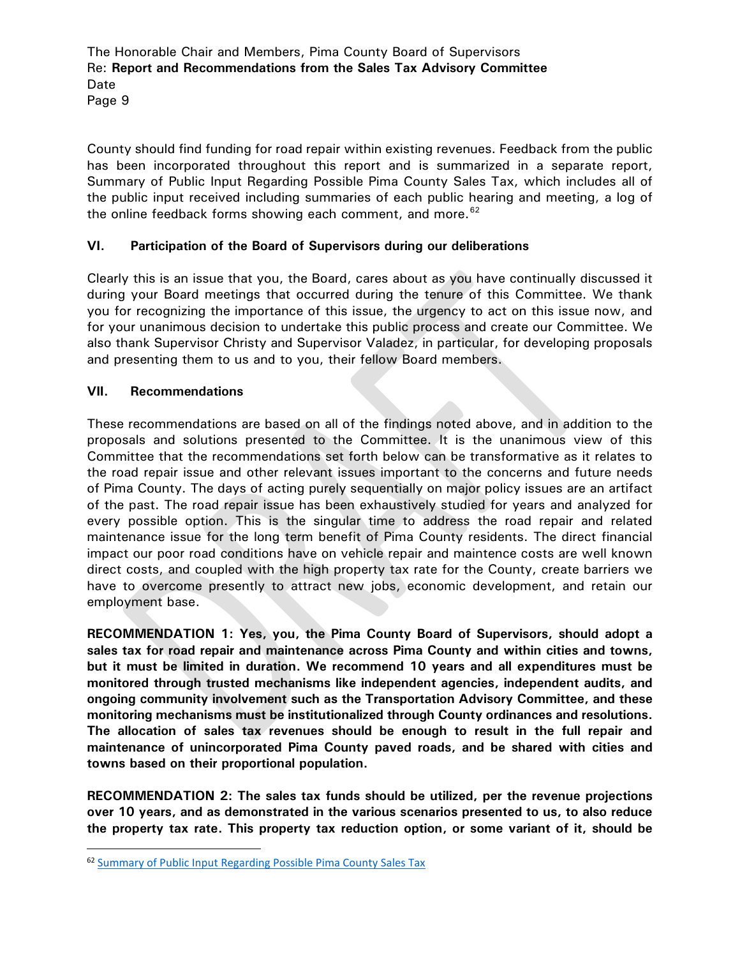Page 9

County should find funding for road repair within existing revenues. Feedback from the public has been incorporated throughout this report and is summarized in a separate report, Summary of Public Input Regarding Possible Pima County Sales Tax, which includes all of the public input received including summaries of each public hearing and meeting, a log of the online feedback forms showing each comment, and more. $62$ 

# **VI. Participation of the Board of Supervisors during our deliberations**

Clearly this is an issue that you, the Board, cares about as you have continually discussed it during your Board meetings that occurred during the tenure of this Committee. We thank you for recognizing the importance of this issue, the urgency to act on this issue now, and for your unanimous decision to undertake this public process and create our Committee. We also thank Supervisor Christy and Supervisor Valadez, in particular, for developing proposals and presenting them to us and to you, their fellow Board members.

# **VII. Recommendations**

These recommendations are based on all of the findings noted above, and in addition to the proposals and solutions presented to the Committee. It is the unanimous view of this Committee that the recommendations set forth below can be transformative as it relates to the road repair issue and other relevant issues important to the concerns and future needs of Pima County. The days of acting purely sequentially on major policy issues are an artifact of the past. The road repair issue has been exhaustively studied for years and analyzed for every possible option. This is the singular time to address the road repair and related maintenance issue for the long term benefit of Pima County residents. The direct financial impact our poor road conditions have on vehicle repair and maintence costs are well known direct costs, and coupled with the high property tax rate for the County, create barriers we have to overcome presently to attract new jobs, economic development, and retain our employment base.

**RECOMMENDATION 1: Yes, you, the Pima County Board of Supervisors, should adopt a sales tax for road repair and maintenance across Pima County and within cities and towns, but it must be limited in duration. We recommend 10 years and all expenditures must be monitored through trusted mechanisms like independent agencies, independent audits, and ongoing community involvement such as the Transportation Advisory Committee, and these monitoring mechanisms must be institutionalized through County ordinances and resolutions. The allocation of sales tax revenues should be enough to result in the full repair and maintenance of unincorporated Pima County paved roads, and be shared with cities and towns based on their proportional population.**

**RECOMMENDATION 2: The sales tax funds should be utilized, per the revenue projections over 10 years, and as demonstrated in the various scenarios presented to us, to also reduce the property tax rate. This property tax reduction option, or some variant of it, should be** 

<span id="page-8-0"></span> <sup>62</sup> [Summary of Public Input Regarding Possible Pima County Sales Tax](http://webcms.pima.gov/UserFiles/Servers/Server_6/File/Government/Transportation/Sales%20Tax%20Advisory%20Committee/Meeting%20Materials/2.28.2018%20Meeting/Draft%20summary%20of%20public%20input%20sales%20tax.pdf)